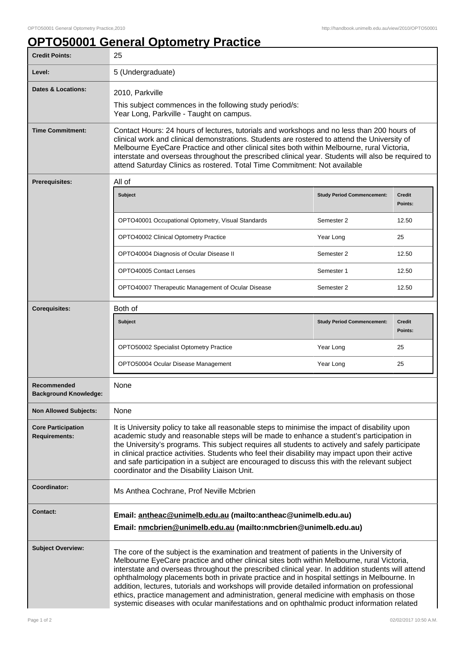## **OPTO50001 General Optometry Practice**

| <b>Credit Points:</b>                             | 25                                                                                                                                                                                                                                                                                                                                                                                                                                                                                                                                                                                                                                                                                    |                                   |                          |
|---------------------------------------------------|---------------------------------------------------------------------------------------------------------------------------------------------------------------------------------------------------------------------------------------------------------------------------------------------------------------------------------------------------------------------------------------------------------------------------------------------------------------------------------------------------------------------------------------------------------------------------------------------------------------------------------------------------------------------------------------|-----------------------------------|--------------------------|
| Level:                                            | 5 (Undergraduate)                                                                                                                                                                                                                                                                                                                                                                                                                                                                                                                                                                                                                                                                     |                                   |                          |
| <b>Dates &amp; Locations:</b>                     | 2010, Parkville<br>This subject commences in the following study period/s:<br>Year Long, Parkville - Taught on campus.                                                                                                                                                                                                                                                                                                                                                                                                                                                                                                                                                                |                                   |                          |
| <b>Time Commitment:</b>                           | Contact Hours: 24 hours of lectures, tutorials and workshops and no less than 200 hours of<br>clinical work and clinical demonstrations. Students are rostered to attend the University of<br>Melbourne EyeCare Practice and other clinical sites both within Melbourne, rural Victoria,<br>interstate and overseas throughout the prescribed clinical year. Students will also be required to<br>attend Saturday Clinics as rostered. Total Time Commitment: Not available                                                                                                                                                                                                           |                                   |                          |
| <b>Prerequisites:</b>                             | All of                                                                                                                                                                                                                                                                                                                                                                                                                                                                                                                                                                                                                                                                                |                                   |                          |
|                                                   | <b>Subject</b>                                                                                                                                                                                                                                                                                                                                                                                                                                                                                                                                                                                                                                                                        | <b>Study Period Commencement:</b> | <b>Credit</b><br>Points: |
|                                                   | OPTO40001 Occupational Optometry, Visual Standards                                                                                                                                                                                                                                                                                                                                                                                                                                                                                                                                                                                                                                    | Semester 2                        | 12.50                    |
|                                                   | OPTO40002 Clinical Optometry Practice                                                                                                                                                                                                                                                                                                                                                                                                                                                                                                                                                                                                                                                 | Year Long                         | 25                       |
|                                                   | OPTO40004 Diagnosis of Ocular Disease II                                                                                                                                                                                                                                                                                                                                                                                                                                                                                                                                                                                                                                              | Semester 2                        | 12.50                    |
|                                                   | OPTO40005 Contact Lenses                                                                                                                                                                                                                                                                                                                                                                                                                                                                                                                                                                                                                                                              | Semester 1                        | 12.50                    |
|                                                   | OPTO40007 Therapeutic Management of Ocular Disease                                                                                                                                                                                                                                                                                                                                                                                                                                                                                                                                                                                                                                    | Semester 2                        | 12.50                    |
| <b>Corequisites:</b>                              | Both of                                                                                                                                                                                                                                                                                                                                                                                                                                                                                                                                                                                                                                                                               |                                   |                          |
|                                                   | <b>Subject</b>                                                                                                                                                                                                                                                                                                                                                                                                                                                                                                                                                                                                                                                                        | <b>Study Period Commencement:</b> | <b>Credit</b><br>Points: |
|                                                   | OPTO50002 Specialist Optometry Practice                                                                                                                                                                                                                                                                                                                                                                                                                                                                                                                                                                                                                                               | Year Long                         | 25                       |
|                                                   | OPTO50004 Ocular Disease Management                                                                                                                                                                                                                                                                                                                                                                                                                                                                                                                                                                                                                                                   | Year Long                         | 25                       |
| Recommended<br><b>Background Knowledge:</b>       | None                                                                                                                                                                                                                                                                                                                                                                                                                                                                                                                                                                                                                                                                                  |                                   |                          |
| <b>Non Allowed Subjects:</b>                      | None                                                                                                                                                                                                                                                                                                                                                                                                                                                                                                                                                                                                                                                                                  |                                   |                          |
| <b>Core Participation</b><br><b>Requirements:</b> | It is University policy to take all reasonable steps to minimise the impact of disability upon<br>academic study and reasonable steps will be made to enhance a student's participation in<br>the University's programs. This subject requires all students to actively and safely participate<br>in clinical practice activities. Students who feel their disability may impact upon their active<br>and safe participation in a subject are encouraged to discuss this with the relevant subject<br>coordinator and the Disability Liaison Unit.                                                                                                                                    |                                   |                          |
| Coordinator:                                      | Ms Anthea Cochrane, Prof Neville Mcbrien                                                                                                                                                                                                                                                                                                                                                                                                                                                                                                                                                                                                                                              |                                   |                          |
| <b>Contact:</b>                                   | Email: antheac@unimelb.edu.au (mailto:antheac@unimelb.edu.au)<br>Email: nmcbrien@unimelb.edu.au (mailto:nmcbrien@unimelb.edu.au)                                                                                                                                                                                                                                                                                                                                                                                                                                                                                                                                                      |                                   |                          |
| <b>Subject Overview:</b>                          | The core of the subject is the examination and treatment of patients in the University of<br>Melbourne EyeCare practice and other clinical sites both within Melbourne, rural Victoria,<br>interstate and overseas throughout the prescribed clinical year. In addition students will attend<br>ophthalmology placements both in private practice and in hospital settings in Melbourne. In<br>addition, lectures, tutorials and workshops will provide detailed information on professional<br>ethics, practice management and administration, general medicine with emphasis on those<br>systemic diseases with ocular manifestations and on ophthalmic product information related |                                   |                          |